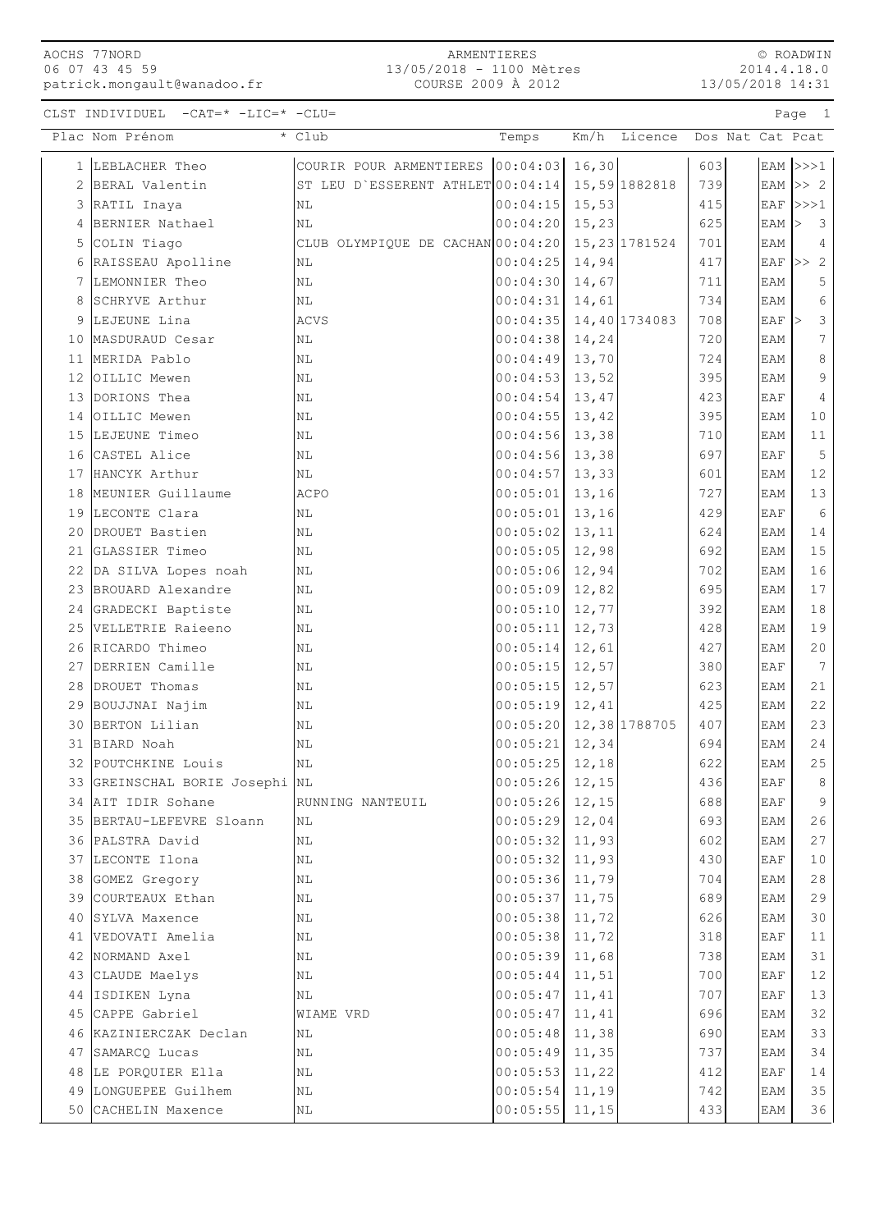AOCHS 77NORD 06 07 43 45 59 patrick.mongault@wanadoo.fr

© ROADWIN 2014.4.18.0 13/05/2018 14:31

CLST INDIVIDUEL -CAT=\* -LIC=\* -CLU= Page 1

|    | Plac Nom Prénom                         | * Club                                          | Temps                                | Km/h  | Licence Dos Nat Cat Pcat |            |            |                                   |
|----|-----------------------------------------|-------------------------------------------------|--------------------------------------|-------|--------------------------|------------|------------|-----------------------------------|
|    | 1 LEBLACHER Theo                        | COURIR POUR ARMENTIERES 00:04:03 16,30          |                                      |       |                          | 603        |            | EAM $ >>>1$                       |
|    | 2 BERAL Valentin                        | ST LEU D'ESSERENT ATHLET 00:04:14 15,59 1882818 |                                      |       |                          | 739        |            | EAM $>> 2$                        |
|    | 3 RATIL Inaya                           | ΝL                                              | 00:04:15                             | 15,53 |                          | 415        | EAF        | >>>1                              |
|    | 4 BERNIER Nathael                       | NL                                              | 00:04:20                             | 15,23 |                          | 625        | EAM        | $\overline{\mathbf{3}}$<br>$\geq$ |
|    | 5 COLIN Tiago                           | CLUB OLYMPIQUE DE CACHAN 00:04:20 15,23 1781524 |                                      |       |                          | 701        | EAM        | $\overline{4}$                    |
|    | 6 RAISSEAU Apolline                     | ΝL                                              | $00:04:25$ 14,94                     |       |                          | 417        | EAF        | >> 2                              |
|    | 7 LEMONNIER Theo                        | ΝL                                              | 00:04:30                             | 14,67 |                          | 711        | EAM        | 5                                 |
| 8  | SCHRYVE Arthur                          | ΝL                                              | 00:04:31                             | 14,61 |                          | 734        | EAM        | $\epsilon$                        |
|    | 9 LEJEUNE Lina                          | <b>ACVS</b>                                     | $00:04:35$ 14,40 1734083             |       |                          | 708        | EAF        | $\ensuremath{\mathsf{3}}$         |
|    | 10 MASDURAUD Cesar                      | ΝL                                              | $00:04:38$ 14,24                     |       |                          | 720        | EAM        | $7\phantom{.0}$                   |
|    | 11 MERIDA Pablo                         | ΝL                                              | 00:04:49                             | 13,70 |                          | 724        | EAM        | $\,8\,$                           |
|    | 12 OILLIC Mewen                         | ΝL                                              | 00:04:53                             | 13,52 |                          | 395        | EAM        | $\mathsf 9$                       |
|    | 13 DORIONS Thea                         | ΝL                                              | 00:04:54                             | 13,47 |                          | 423        | EAF        | $\overline{4}$                    |
|    | 14 OILLIC Mewen                         | NL                                              | 00:04:55                             | 13,42 |                          | 395        | EAM        | 10                                |
|    | 15 LEJEUNE Timeo                        | ΝL                                              | $00:04:56$ 13,38                     |       |                          | 710        | EAM        | 11                                |
|    | 16 CASTEL Alice                         | NL                                              | $00:04:56$ 13,38                     |       |                          | 697        | EAF        | $5\phantom{.0}$                   |
|    | 17 HANCYK Arthur                        | ΝL                                              | 00:04:57                             | 13,33 |                          | 601        | EAM        | $12$                              |
|    | 18 MEUNIER Guillaume                    | <b>ACPO</b>                                     | 00:05:01                             | 13,16 |                          | 727        | EAM        | $13$                              |
|    | 19 LECONTE Clara                        | NL                                              | 00:05:01                             | 13,16 |                          | 429        | EAF        | $\epsilon$                        |
|    | 20 DROUET Bastien                       | ΝL                                              | 00:05:02                             | 13,11 |                          | 624        | EAM        | 14                                |
| 21 | GLASSIER Timeo                          | ΝL                                              | $00:05:05$ 12,98                     |       |                          | 692        | EAM        | $15\,$                            |
|    | 22 DA SILVA Lopes noah                  | ΝL                                              | $00:05:06$ 12,94                     |       |                          | 702        | EAM        | 16                                |
|    | 23 BROUARD Alexandre                    | ΝL                                              | $00:05:09$ 12,82                     |       |                          | 695        | EAM        | 17                                |
|    | 24 GRADECKI Baptiste                    | $\rm NL$                                        | 00:05:10                             | 12,77 |                          | 392        | EAM        | $1\,8$                            |
|    | 25 VELLETRIE Raieeno                    | ΝL                                              | 00:05:11                             | 12,73 |                          | 428        | EAM        | 19                                |
|    | 26 RICARDO Thimeo                       | ΝL                                              | $00:05:14$ 12,61                     |       |                          | 427        | EAM        | 20                                |
|    | 27 DERRIEN Camille                      | ΝL                                              | $00:05:15$ 12,57                     |       |                          | 380        | EAF        | $7\phantom{.0}$                   |
|    | 28 DROUET Thomas                        | ΝL                                              | 00:05:15                             | 12,57 |                          | 623        | EAM        | 21                                |
|    | 29 BOUJJNAI Najim                       | ΝL                                              | 00:05:19                             | 12,41 |                          | 425        | EAM        | 22                                |
|    | 30 BERTON Lilian                        | ΝL                                              | $00:05:20$ 12,38 1788705             |       |                          | 407        | EAM        | 23                                |
|    | 31 BIARD Noah                           | ΝL                                              | $00:05:21$ 12,34                     |       |                          | 694        | EAM        | 24                                |
|    | 32 POUTCHKINE Louis                     | ΝL                                              | $00:05:25$ 12,18                     |       |                          | 622        | EAM        | 25                                |
|    | 33 GREINSCHAL BORIE Josephi NL          |                                                 | $00:05:26$ 12,15                     |       |                          | 436        | EAF        | 8 <sup>8</sup>                    |
|    | 34 AIT IDIR Sohane                      | RUNNING NANTEUIL                                | $00:05:26$ 12, 15                    |       |                          | 688        | EAF        | 9                                 |
|    | 35 BERTAU-LEFEVRE Sloann                | NL                                              | $00:05:29$ 12,04                     |       |                          | 693        | EAM        | 26                                |
|    | 36 PALSTRA David                        | ΝL                                              | $00:05:32$ 11,93                     |       |                          | 602        | EAM        | 27                                |
|    | 37 LECONTE Ilona                        | ΝL                                              | $00:05:32$ 11,93                     |       |                          | 430        | EAF        | 10                                |
|    | 38 GOMEZ Gregory                        | NL                                              | $00:05:36$ 11,79                     |       |                          | 704        | EAM        | 28                                |
|    | 39 COURTEAUX Ethan                      | $\rm NL$                                        | $00:05:37$ 11,75                     |       |                          | 689        | EAM        | 29                                |
|    | 40 SYLVA Maxence                        | NL                                              | $00:05:38$ 11,72                     |       |                          | 626        | EAM        | 30                                |
|    | 41 VEDOVATI Amelia                      | NL                                              | $00:05:38$ 11,72                     |       |                          | 318        | EAF        | 11                                |
|    | 42 NORMAND Axel                         | ΝL                                              | $00:05:39$ 11,68                     |       |                          | 738        | EAM        | 31                                |
|    | 43 CLAUDE Maelys                        | NL                                              | $00:05:44$ 11,51                     |       |                          | 700        | EAF        | $12$                              |
|    | 44 ISDIKEN Lyna                         | $\rm NL$                                        | $00:05:47$ 11, 41                    |       |                          | 707        | EAF        | 13                                |
|    | 45 CAPPE Gabriel                        | WIAME VRD                                       | $00:05:47$ 11,41                     |       |                          | 696        | EAM        | 32                                |
|    | 46 KAZINIERCZAK Declan                  | NL                                              | $00:05:48$ 11,38<br>$00:05:49$ 11,35 |       |                          | 690<br>737 | EAM        | 33<br>34                          |
|    | 47 SAMARCQ Lucas<br>48 LE PORQUIER Ella | NL<br>NL                                        | $00:05:53$ 11,22                     |       |                          | 412        | EAM<br>EAF | 14                                |
|    | 49 LONGUEPEE Guilhem                    | $\rm NL$                                        | $00:05:54$ 11,19                     |       |                          | 742        | EAM        | 35                                |
|    | 50 CACHELIN Maxence                     | NL                                              | $00:05:55$ 11, 15                    |       |                          | 433        | EAM        | 36                                |
|    |                                         |                                                 |                                      |       |                          |            |            |                                   |